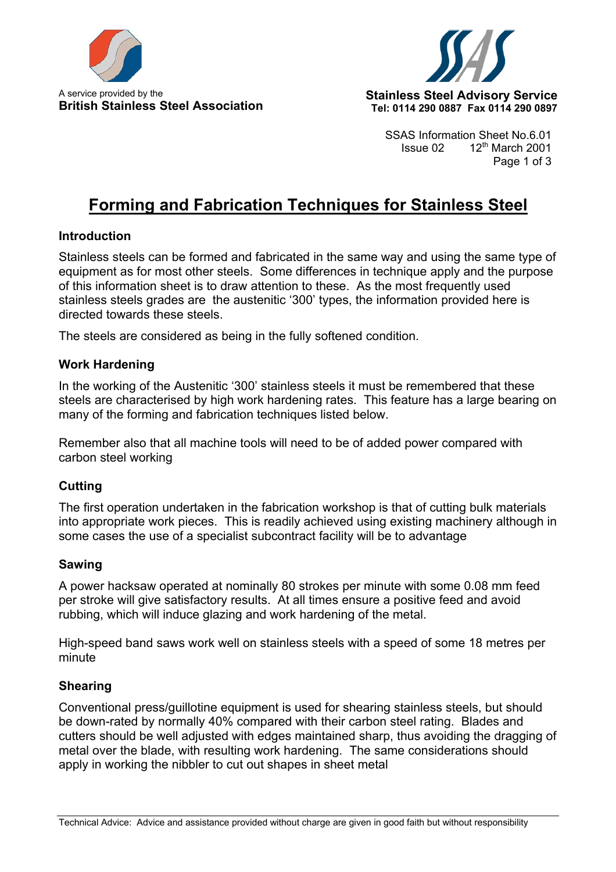



SSAS Information Sheet No.6.01 Issue  $02 \qquad 12^{th}$  March 2001 Page 1 of 3

# **Forming and Fabrication Techniques for Stainless Steel**

#### **Introduction**

Stainless steels can be formed and fabricated in the same way and using the same type of equipment as for most other steels. Some differences in technique apply and the purpose of this information sheet is to draw attention to these. As the most frequently used stainless steels grades are the austenitic '300' types, the information provided here is directed towards these steels.

The steels are considered as being in the fully softened condition.

#### **Work Hardening**

In the working of the Austenitic '300' stainless steels it must be remembered that these steels are characterised by high work hardening rates. This feature has a large bearing on many of the forming and fabrication techniques listed below.

Remember also that all machine tools will need to be of added power compared with carbon steel working

#### **Cutting**

The first operation undertaken in the fabrication workshop is that of cutting bulk materials into appropriate work pieces. This is readily achieved using existing machinery although in some cases the use of a specialist subcontract facility will be to advantage

#### **Sawing**

A power hacksaw operated at nominally 80 strokes per minute with some 0.08 mm feed per stroke will give satisfactory results. At all times ensure a positive feed and avoid rubbing, which will induce glazing and work hardening of the metal.

High-speed band saws work well on stainless steels with a speed of some 18 metres per minute

#### **Shearing**

Conventional press/guillotine equipment is used for shearing stainless steels, but should be down-rated by normally 40% compared with their carbon steel rating. Blades and cutters should be well adjusted with edges maintained sharp, thus avoiding the dragging of metal over the blade, with resulting work hardening. The same considerations should apply in working the nibbler to cut out shapes in sheet metal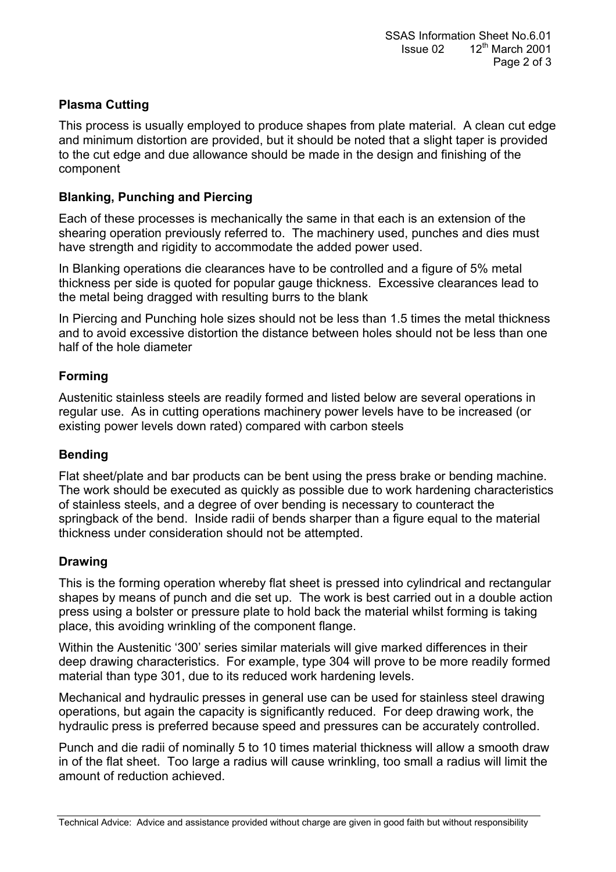# **Plasma Cutting**

This process is usually employed to produce shapes from plate material. A clean cut edge and minimum distortion are provided, but it should be noted that a slight taper is provided to the cut edge and due allowance should be made in the design and finishing of the component

# **Blanking, Punching and Piercing**

Each of these processes is mechanically the same in that each is an extension of the shearing operation previously referred to. The machinery used, punches and dies must have strength and rigidity to accommodate the added power used.

In Blanking operations die clearances have to be controlled and a figure of 5% metal thickness per side is quoted for popular gauge thickness. Excessive clearances lead to the metal being dragged with resulting burrs to the blank

In Piercing and Punching hole sizes should not be less than 1.5 times the metal thickness and to avoid excessive distortion the distance between holes should not be less than one half of the hole diameter

# **Forming**

Austenitic stainless steels are readily formed and listed below are several operations in regular use. As in cutting operations machinery power levels have to be increased (or existing power levels down rated) compared with carbon steels

# **Bending**

Flat sheet/plate and bar products can be bent using the press brake or bending machine. The work should be executed as quickly as possible due to work hardening characteristics of stainless steels, and a degree of over bending is necessary to counteract the springback of the bend. Inside radii of bends sharper than a figure equal to the material thickness under consideration should not be attempted.

# **Drawing**

This is the forming operation whereby flat sheet is pressed into cylindrical and rectangular shapes by means of punch and die set up. The work is best carried out in a double action press using a bolster or pressure plate to hold back the material whilst forming is taking place, this avoiding wrinkling of the component flange.

Within the Austenitic '300' series similar materials will give marked differences in their deep drawing characteristics. For example, type 304 will prove to be more readily formed material than type 301, due to its reduced work hardening levels.

Mechanical and hydraulic presses in general use can be used for stainless steel drawing operations, but again the capacity is significantly reduced. For deep drawing work, the hydraulic press is preferred because speed and pressures can be accurately controlled.

Punch and die radii of nominally 5 to 10 times material thickness will allow a smooth draw in of the flat sheet. Too large a radius will cause wrinkling, too small a radius will limit the amount of reduction achieved.